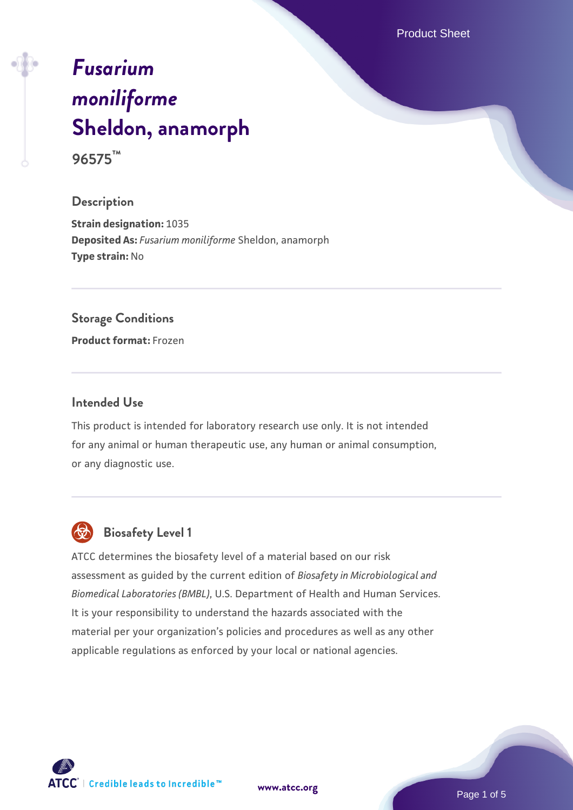Product Sheet

# *[Fusarium](https://www.atcc.org/products/96575) [moniliforme](https://www.atcc.org/products/96575)* **[Sheldon, anamorph](https://www.atcc.org/products/96575) 96575™**

#### **Description**

**Strain designation:** 1035 **Deposited As:** *Fusarium moniliforme* Sheldon, anamorph **Type strain:** No

#### **Storage Conditions**

**Product format:** Frozen

#### **Intended Use**

This product is intended for laboratory research use only. It is not intended for any animal or human therapeutic use, any human or animal consumption, or any diagnostic use.



# **Biosafety Level 1**

ATCC determines the biosafety level of a material based on our risk assessment as guided by the current edition of *Biosafety in Microbiological and Biomedical Laboratories (BMBL)*, U.S. Department of Health and Human Services. It is your responsibility to understand the hazards associated with the material per your organization's policies and procedures as well as any other applicable regulations as enforced by your local or national agencies.

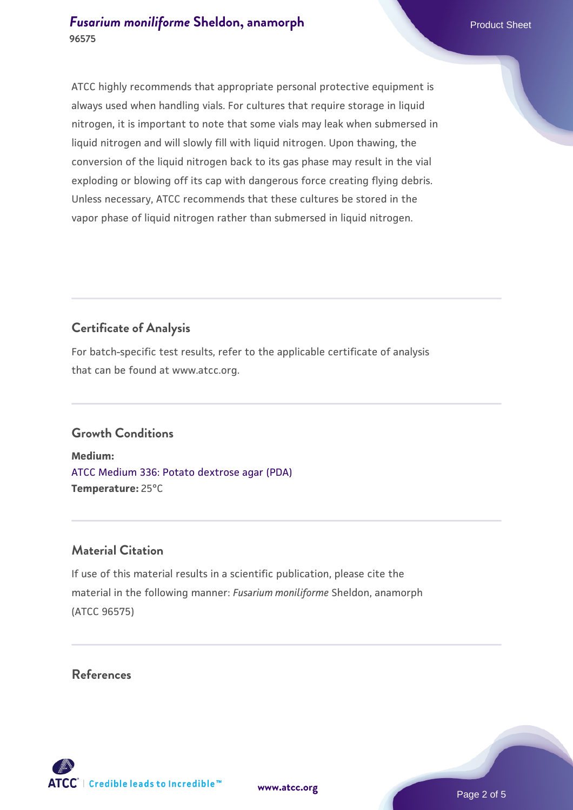ATCC highly recommends that appropriate personal protective equipment is always used when handling vials. For cultures that require storage in liquid nitrogen, it is important to note that some vials may leak when submersed in liquid nitrogen and will slowly fill with liquid nitrogen. Upon thawing, the conversion of the liquid nitrogen back to its gas phase may result in the vial exploding or blowing off its cap with dangerous force creating flying debris. Unless necessary, ATCC recommends that these cultures be stored in the vapor phase of liquid nitrogen rather than submersed in liquid nitrogen.

# **Certificate of Analysis**

For batch-specific test results, refer to the applicable certificate of analysis that can be found at www.atcc.org.

# **Growth Conditions**

**Medium:**  [ATCC Medium 336: Potato dextrose agar \(PDA\)](https://www.atcc.org/-/media/product-assets/documents/microbial-media-formulations/3/3/6/atcc-medium-336.pdf?rev=d9160ad44d934cd8b65175461abbf3b9) **Temperature:** 25°C

### **Material Citation**

If use of this material results in a scientific publication, please cite the material in the following manner: *Fusarium moniliforme* Sheldon, anamorph (ATCC 96575)

#### **References**

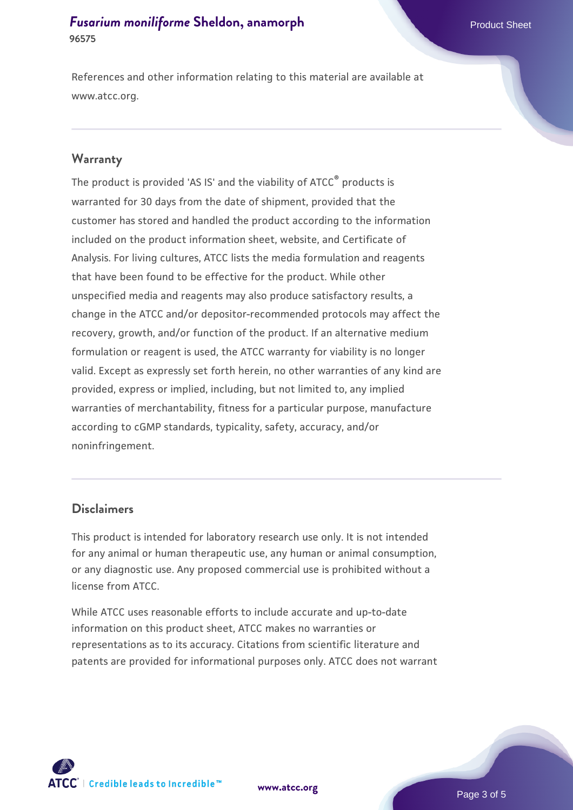References and other information relating to this material are available at www.atcc.org.

#### **Warranty**

The product is provided 'AS IS' and the viability of ATCC® products is warranted for 30 days from the date of shipment, provided that the customer has stored and handled the product according to the information included on the product information sheet, website, and Certificate of Analysis. For living cultures, ATCC lists the media formulation and reagents that have been found to be effective for the product. While other unspecified media and reagents may also produce satisfactory results, a change in the ATCC and/or depositor-recommended protocols may affect the recovery, growth, and/or function of the product. If an alternative medium formulation or reagent is used, the ATCC warranty for viability is no longer valid. Except as expressly set forth herein, no other warranties of any kind are provided, express or implied, including, but not limited to, any implied warranties of merchantability, fitness for a particular purpose, manufacture according to cGMP standards, typicality, safety, accuracy, and/or noninfringement.

#### **Disclaimers**

This product is intended for laboratory research use only. It is not intended for any animal or human therapeutic use, any human or animal consumption, or any diagnostic use. Any proposed commercial use is prohibited without a license from ATCC.

While ATCC uses reasonable efforts to include accurate and up-to-date information on this product sheet, ATCC makes no warranties or representations as to its accuracy. Citations from scientific literature and patents are provided for informational purposes only. ATCC does not warrant

**[www.atcc.org](http://www.atcc.org)**



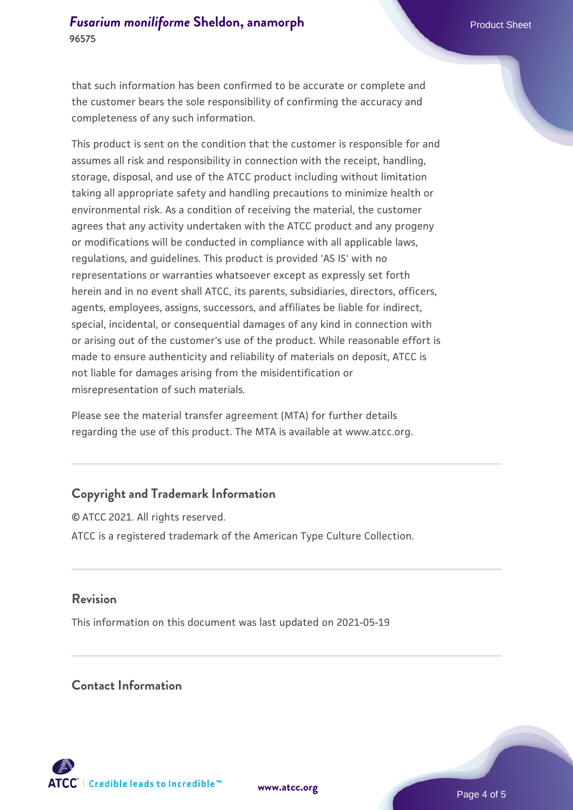that such information has been confirmed to be accurate or complete and the customer bears the sole responsibility of confirming the accuracy and completeness of any such information.

This product is sent on the condition that the customer is responsible for and assumes all risk and responsibility in connection with the receipt, handling, storage, disposal, and use of the ATCC product including without limitation taking all appropriate safety and handling precautions to minimize health or environmental risk. As a condition of receiving the material, the customer agrees that any activity undertaken with the ATCC product and any progeny or modifications will be conducted in compliance with all applicable laws, regulations, and guidelines. This product is provided 'AS IS' with no representations or warranties whatsoever except as expressly set forth herein and in no event shall ATCC, its parents, subsidiaries, directors, officers, agents, employees, assigns, successors, and affiliates be liable for indirect, special, incidental, or consequential damages of any kind in connection with or arising out of the customer's use of the product. While reasonable effort is made to ensure authenticity and reliability of materials on deposit, ATCC is not liable for damages arising from the misidentification or misrepresentation of such materials.

Please see the material transfer agreement (MTA) for further details regarding the use of this product. The MTA is available at www.atcc.org.

## **Copyright and Trademark Information**

© ATCC 2021. All rights reserved. ATCC is a registered trademark of the American Type Culture Collection.

#### **Revision**

This information on this document was last updated on 2021-05-19

#### **Contact Information**